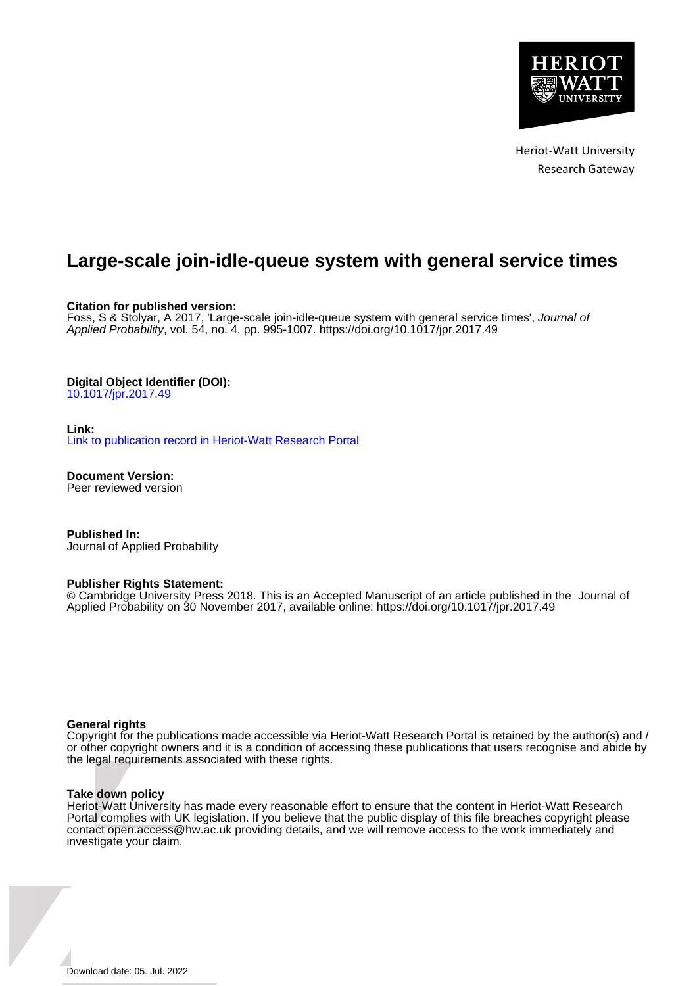

Heriot-Watt University Research Gateway

# **Large-scale join-idle-queue system with general service times**

## **Citation for published version:**

Foss, S & Stolyar, A 2017, 'Large-scale join-idle-queue system with general service times', Journal of Applied Probability, vol. 54, no. 4, pp. 995-1007. <https://doi.org/10.1017/jpr.2017.49>

## **Digital Object Identifier (DOI):**

[10.1017/jpr.2017.49](https://doi.org/10.1017/jpr.2017.49)

## **Link:**

[Link to publication record in Heriot-Watt Research Portal](https://researchportal.hw.ac.uk/en/publications/19312d0d-063d-4ed6-859f-ce64a2810213)

**Document Version:** Peer reviewed version

**Published In:** Journal of Applied Probability

#### **Publisher Rights Statement:**

© Cambridge University Press 2018. This is an Accepted Manuscript of an article published in the Journal of Applied Probability on 30 November 2017, available online: https://doi.org/10.1017/jpr.2017.49

#### **General rights**

Copyright for the publications made accessible via Heriot-Watt Research Portal is retained by the author(s) and / or other copyright owners and it is a condition of accessing these publications that users recognise and abide by the legal requirements associated with these rights.

#### **Take down policy**

Heriot-Watt University has made every reasonable effort to ensure that the content in Heriot-Watt Research Portal complies with UK legislation. If you believe that the public display of this file breaches copyright please contact open.access@hw.ac.uk providing details, and we will remove access to the work immediately and investigate your claim.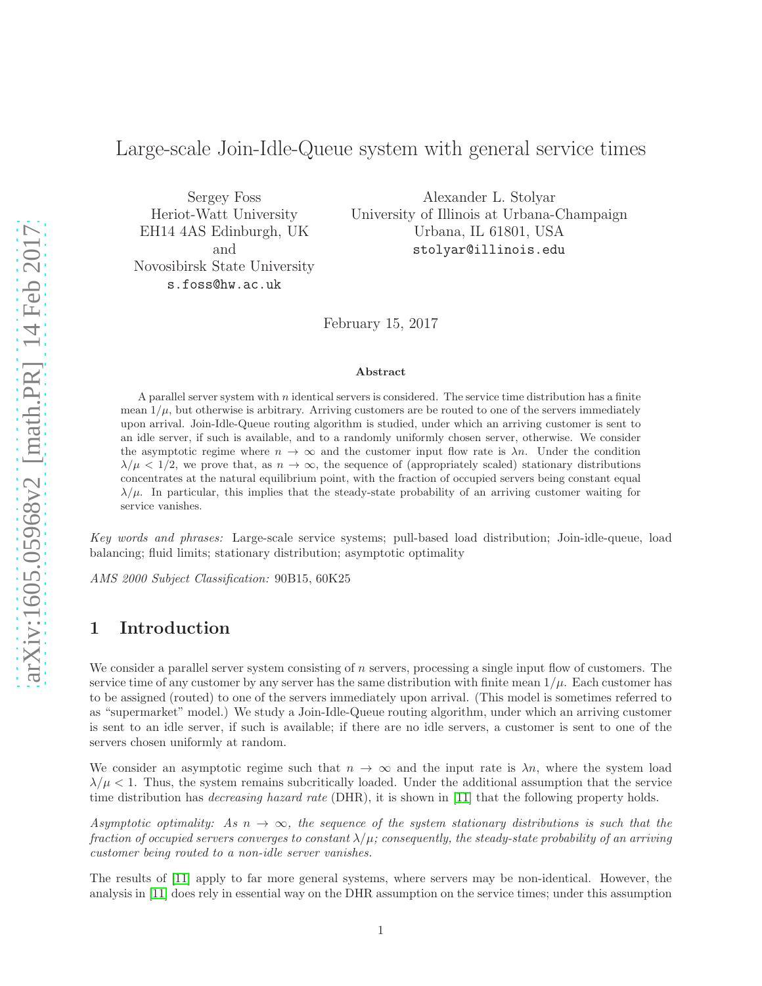# Large-scale Join-Idle-Queue system with general service times

Sergey Foss Heriot-Watt University EH14 4AS Edinburgh, UK and Novosibirsk State University s.foss@hw.ac.uk

Alexander L. Stolyar University of Illinois at Urbana-Champaign Urbana, IL 61801, USA stolyar@illinois.edu

February 15, 2017

#### Abstract

A parallel server system with  $n$  identical servers is considered. The service time distribution has a finite mean  $1/\mu$ , but otherwise is arbitrary. Arriving customers are be routed to one of the servers immediately upon arrival. Join-Idle-Queue routing algorithm is studied, under which an arriving customer is sent to an idle server, if such is available, and to a randomly uniformly chosen server, otherwise. We consider the asymptotic regime where  $n \to \infty$  and the customer input flow rate is  $\lambda n$ . Under the condition  $\lambda/\mu < 1/2$ , we prove that, as  $n \to \infty$ , the sequence of (appropriately scaled) stationary distributions concentrates at the natural equilibrium point, with the fraction of occupied servers being constant equal  $\lambda/\mu$ . In particular, this implies that the steady-state probability of an arriving customer waiting for service vanishes.

Key words and phrases: Large-scale service systems; pull-based load distribution; Join-idle-queue, load balancing; fluid limits; stationary distribution; asymptotic optimality

<span id="page-1-0"></span>AMS 2000 Subject Classification: 90B15, 60K25

## 1 Introduction

We consider a parallel server system consisting of  $n$  servers, processing a single input flow of customers. The service time of any customer by any server has the same distribution with finite mean  $1/\mu$ . Each customer has to be assigned (routed) to one of the servers immediately upon arrival. (This model is sometimes referred to as "supermarket" model.) We study a Join-Idle-Queue routing algorithm, under which an arriving customer is sent to an idle server, if such is available; if there are no idle servers, a customer is sent to one of the servers chosen uniformly at random.

We consider an asymptotic regime such that  $n \to \infty$  and the input rate is  $\lambda n$ , where the system load  $\lambda/\mu < 1$ . Thus, the system remains subcritically loaded. Under the additional assumption that the service time distribution has *decreasing hazard rate* (DHR), it is shown in [\[11\]](#page-11-0) that the following property holds.

Asymptotic optimality: As  $n \to \infty$ , the sequence of the system stationary distributions is such that the fraction of occupied servers converges to constant  $\lambda/\mu$ ; consequently, the steady-state probability of an arriving customer being routed to a non-idle server vanishes.

The results of [\[11\]](#page-11-0) apply to far more general systems, where servers may be non-identical. However, the analysis in [\[11\]](#page-11-0) does rely in essential way on the DHR assumption on the service times; under this assumption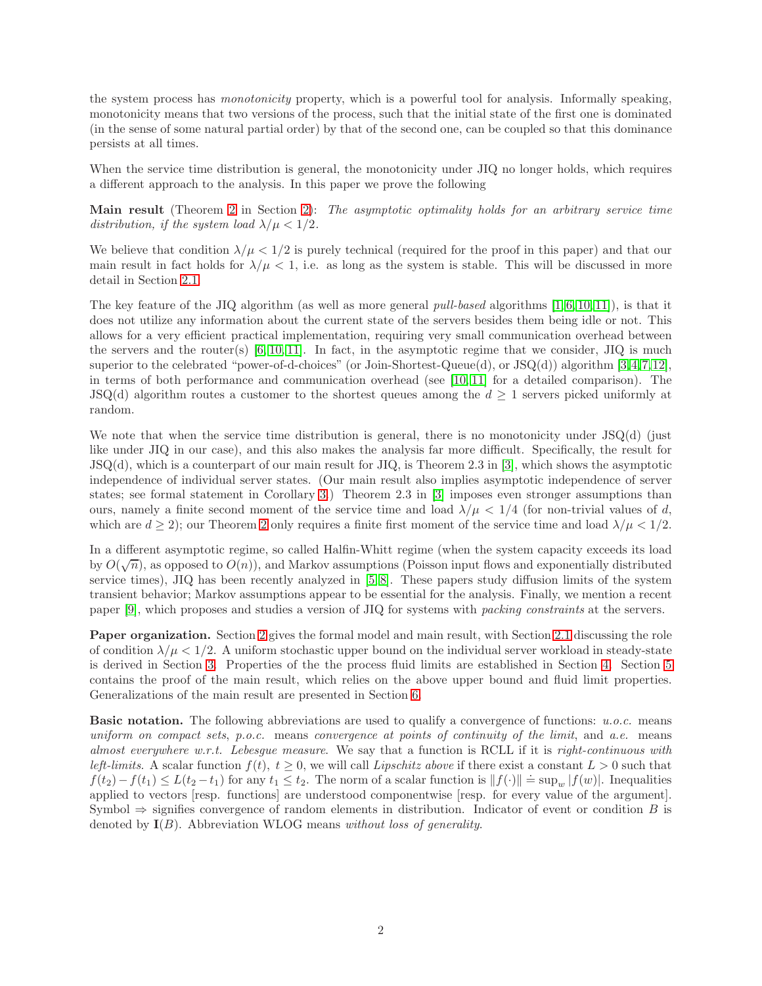the system process has monotonicity property, which is a powerful tool for analysis. Informally speaking, monotonicity means that two versions of the process, such that the initial state of the first one is dominated (in the sense of some natural partial order) by that of the second one, can be coupled so that this dominance persists at all times.

When the service time distribution is general, the monotonicity under JIQ no longer holds, which requires a different approach to the analysis. In this paper we prove the following

Main result (Theorem [2](#page-4-0) in Section [2\)](#page-3-0): The asymptotic optimality holds for an arbitrary service time distribution, if the system load  $\lambda/\mu < 1/2$ .

We believe that condition  $\lambda/\mu < 1/2$  is purely technical (required for the proof in this paper) and that our main result in fact holds for  $\lambda/\mu < 1$ , i.e. as long as the system is stable. This will be discussed in more detail in Section [2.1.](#page-4-1)

The key feature of the JIQ algorithm (as well as more general *pull-based* algorithms [\[1,](#page-11-1) [6,](#page-11-2) [10,](#page-11-3) [11\]](#page-11-0)), is that it does not utilize any information about the current state of the servers besides them being idle or not. This allows for a very efficient practical implementation, requiring very small communication overhead between the servers and the router(s)  $[6, 10, 11]$  $[6, 10, 11]$  $[6, 10, 11]$ . In fact, in the asymptotic regime that we consider, JIQ is much superior to the celebrated "power-of-d-choices" (or Join-Shortest-Queue(d), or JSQ(d)) algorithm [\[3,](#page-11-4)[4,](#page-11-5)[7,](#page-11-6)[12\]](#page-11-7), in terms of both performance and communication overhead (see  $[10, 11]$  $[10, 11]$  for a detailed comparison). The JSQ(d) algorithm routes a customer to the shortest queues among the  $d \geq 1$  servers picked uniformly at random.

We note that when the service time distribution is general, there is no monotonicity under JSQ(d) (just like under JIQ in our case), and this also makes the analysis far more difficult. Specifically, the result for JSQ(d), which is a counterpart of our main result for JIQ, is Theorem 2.3 in [\[3\]](#page-11-4), which shows the asymptotic independence of individual server states. (Our main result also implies asymptotic independence of server states; see formal statement in Corollary [3.](#page-4-2)) Theorem 2.3 in [\[3\]](#page-11-4) imposes even stronger assumptions than ours, namely a finite second moment of the service time and load  $\lambda/\mu < 1/4$  (for non-trivial values of d, which are  $d \geq 2$  $d \geq 2$ ); our Theorem 2 only requires a finite first moment of the service time and load  $\lambda/\mu < 1/2$ .

In a different asymptotic regime, so called Halfin-Whitt regime (when the system capacity exceeds its load by  $O(\sqrt{n})$ , as opposed to  $O(n)$ , and Markov assumptions (Poisson input flows and exponentially distributed service times), JIQ has been recently analyzed in [\[5,](#page-11-8) [8\]](#page-11-9). These papers study diffusion limits of the system transient behavior; Markov assumptions appear to be essential for the analysis. Finally, we mention a recent paper [\[9\]](#page-11-10), which proposes and studies a version of JIQ for systems with packing constraints at the servers.

Paper organization. Section [2](#page-3-0) gives the formal model and main result, with Section [2.1](#page-4-1) discussing the role of condition  $\lambda/\mu < 1/2$ . A uniform stochastic upper bound on the individual server workload in steady-state is derived in Section [3.](#page-5-0) Properties of the the process fluid limits are established in Section [4.](#page-5-1) Section [5](#page-8-0) contains the proof of the main result, which relies on the above upper bound and fluid limit properties. Generalizations of the main result are presented in Section [6.](#page-10-0)

**Basic notation.** The following abbreviations are used to qualify a convergence of functions:  $u.o.c.$  means uniform on compact sets, p.o.c. means convergence at points of continuity of the limit, and a.e. means almost everywhere w.r.t. Lebesgue measure. We say that a function is RCLL if it is right-continuous with left-limits. A scalar function  $f(t)$ ,  $t \geq 0$ , we will call Lipschitz above if there exist a constant  $L > 0$  such that  $f(t_2)-f(t_1) \leq L(t_2-t_1)$  for any  $t_1 \leq t_2$ . The norm of a scalar function is  $||f(\cdot)|| = \sup_w |f(w)|$ . Inequalities applied to vectors [resp. functions] are understood componentwise [resp. for every value of the argument]. Symbol  $\Rightarrow$  signifies convergence of random elements in distribution. Indicator of event or condition B is denoted by  $I(B)$ . Abbreviation WLOG means without loss of generality.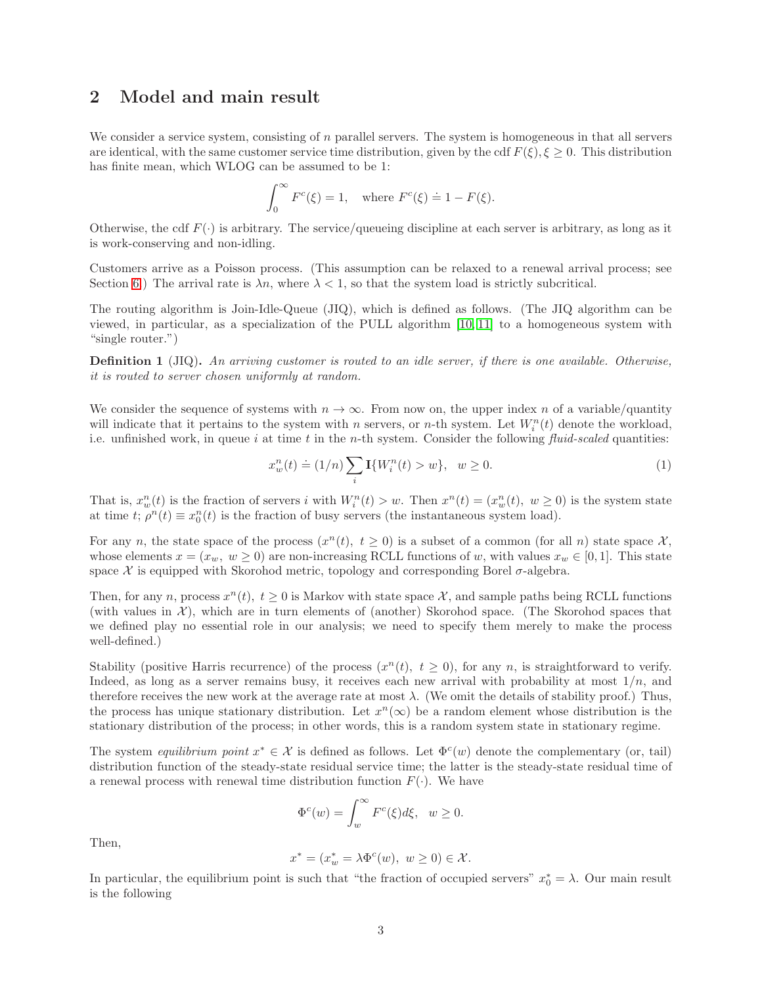## <span id="page-3-0"></span>2 Model and main result

We consider a service system, consisting of  $n$  parallel servers. The system is homogeneous in that all servers are identical, with the same customer service time distribution, given by the cdf  $F(\xi), \xi \geq 0$ . This distribution has finite mean, which WLOG can be assumed to be 1:

$$
\int_0^\infty F^c(\xi) = 1, \quad \text{where } F^c(\xi) \doteq 1 - F(\xi).
$$

Otherwise, the cdf  $F(\cdot)$  is arbitrary. The service/queueing discipline at each server is arbitrary, as long as it is work-conserving and non-idling.

Customers arrive as a Poisson process. (This assumption can be relaxed to a renewal arrival process; see Section [6.](#page-10-0)) The arrival rate is  $\lambda n$ , where  $\lambda < 1$ , so that the system load is strictly subcritical.

The routing algorithm is Join-Idle-Queue (JIQ), which is defined as follows. (The JIQ algorithm can be viewed, in particular, as a specialization of the PULL algorithm [\[10,](#page-11-3) [11\]](#page-11-0) to a homogeneous system with "single router.")

Definition 1 (JIQ). An arriving customer is routed to an idle server, if there is one available. Otherwise, it is routed to server chosen uniformly at random.

We consider the sequence of systems with  $n \to \infty$ . From now on, the upper index n of a variable/quantity will indicate that it pertains to the system with n servers, or n-th system. Let  $W_i^n(t)$  denote the workload, i.e. unfinished work, in queue i at time t in the n-th system. Consider the following  $fluid-scaled$  quantities:

<span id="page-3-1"></span>
$$
x_w^n(t) \doteq (1/n) \sum_i \mathbf{I}\{W_i^n(t) > w\}, \ \ w \ge 0. \tag{1}
$$

That is,  $x_w^n(t)$  is the fraction of servers i with  $W_i^n(t) > w$ . Then  $x^n(t) = (x_w^n(t), w \ge 0)$  is the system state at time  $t; \rho^n(t) \equiv x_0^n(t)$  is the fraction of busy servers (the instantaneous system load).

For any n, the state space of the process  $(x^n(t), t \ge 0)$  is a subset of a common (for all n) state space X, whose elements  $x = (x_w, w \ge 0)$  are non-increasing RCLL functions of w, with values  $x_w \in [0, 1]$ . This state space  $\mathcal X$  is equipped with Skorohod metric, topology and corresponding Borel  $\sigma$ -algebra.

Then, for any n, process  $x^n(t)$ ,  $t \ge 0$  is Markov with state space X, and sample paths being RCLL functions (with values in  $\mathcal{X}$ ), which are in turn elements of (another) Skorohod space. (The Skorohod spaces that we defined play no essential role in our analysis; we need to specify them merely to make the process well-defined.)

Stability (positive Harris recurrence) of the process  $(x^n(t), t \ge 0)$ , for any n, is straightforward to verify. Indeed, as long as a server remains busy, it receives each new arrival with probability at most  $1/n$ , and therefore receives the new work at the average rate at most  $\lambda$ . (We omit the details of stability proof.) Thus, the process has unique stationary distribution. Let  $x^n(\infty)$  be a random element whose distribution is the stationary distribution of the process; in other words, this is a random system state in stationary regime.

The system *equilibrium point*  $x^* \in \mathcal{X}$  is defined as follows. Let  $\Phi^c(w)$  denote the complementary (or, tail) distribution function of the steady-state residual service time; the latter is the steady-state residual time of a renewal process with renewal time distribution function  $F(\cdot)$ . We have

$$
\Phi^c(w)=\int_w^\infty F^c(\xi)d\xi,\ \ w\geq 0.
$$

Then,

$$
x^* = (x_w^* = \lambda \Phi^c(w), \ w \ge 0) \in \mathcal{X}.
$$

In particular, the equilibrium point is such that "the fraction of occupied servers"  $x_0^* = \lambda$ . Our main result is the following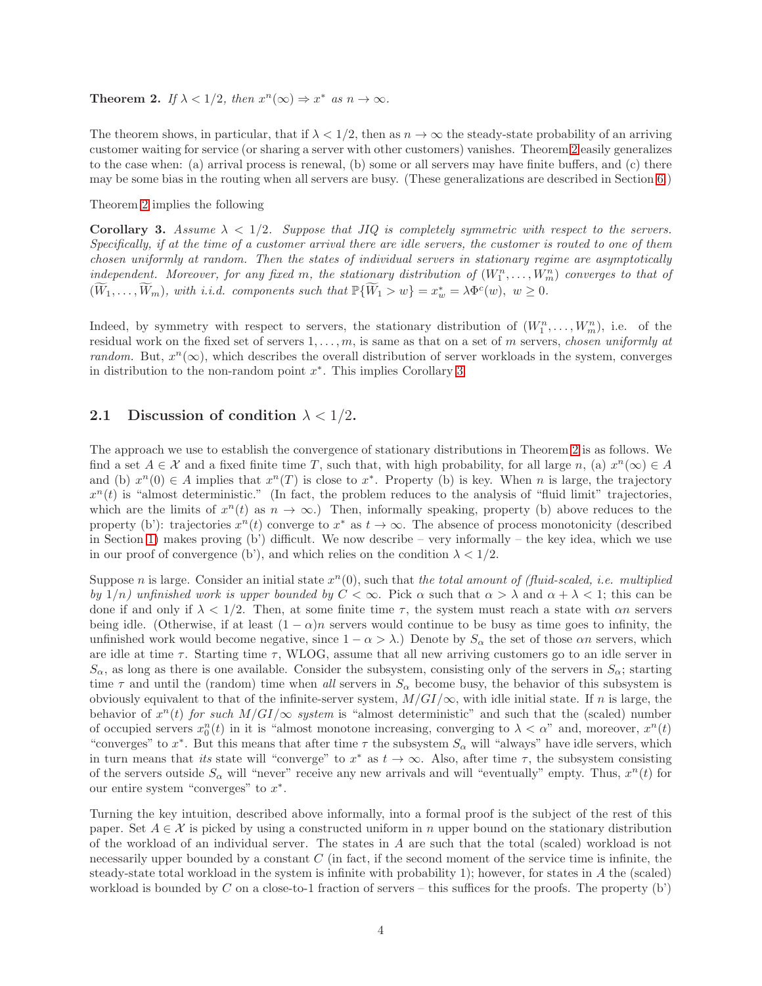<span id="page-4-0"></span>**Theorem 2.** If  $\lambda < 1/2$ , then  $x^n(\infty) \Rightarrow x^*$  as  $n \to \infty$ .

The theorem shows, in particular, that if  $\lambda < 1/2$ , then as  $n \to \infty$  the steady-state probability of an arriving customer waiting for service (or sharing a server with other customers) vanishes. Theorem [2](#page-4-0) easily generalizes to the case when: (a) arrival process is renewal, (b) some or all servers may have finite buffers, and (c) there may be some bias in the routing when all servers are busy. (These generalizations are described in Section [6.](#page-10-0))

Theorem [2](#page-4-0) implies the following

<span id="page-4-2"></span>Corollary 3. Assume  $\lambda < 1/2$ . Suppose that JIQ is completely symmetric with respect to the servers. Specifically, if at the time of a customer arrival there are idle servers, the customer is routed to one of them chosen uniformly at random. Then the states of individual servers in stationary regime are asymptotically independent. Moreover, for any fixed m, the stationary distribution of  $(W_1^n, \ldots, W_m^n)$  converges to that of  $(\widetilde{W}_1,\ldots,\widetilde{W}_m)$ , with i.i.d. components such that  $\mathbb{P}\{\widetilde{W}_1 > w\} = x_w^* = \lambda \Phi^c(w)$ ,  $w \ge 0$ .

Indeed, by symmetry with respect to servers, the stationary distribution of  $(W_1^n, \ldots, W_m^n)$ , i.e. of the residual work on the fixed set of servers  $1, \ldots, m$ , is same as that on a set of m servers, chosen uniformly at random. But,  $x^n(\infty)$ , which describes the overall distribution of server workloads in the system, converges in distribution to the non-random point  $x^*$ . This implies Corollary [3.](#page-4-2)

### <span id="page-4-1"></span>2.1 Discussion of condition  $\lambda < 1/2$ .

The approach we use to establish the convergence of stationary distributions in Theorem [2](#page-4-0) is as follows. We find a set  $A \in \mathcal{X}$  and a fixed finite time T, such that, with high probability, for all large n, (a)  $x^n(\infty) \in A$ and (b)  $x^n(0) \in A$  implies that  $x^n(T)$  is close to  $x^*$ . Property (b) is key. When n is large, the trajectory  $x^n(t)$  is "almost deterministic." (In fact, the problem reduces to the analysis of "fluid limit" trajectories, which are the limits of  $x^n(t)$  as  $n \to \infty$ .) Then, informally speaking, property (b) above reduces to the property (b'): trajectories  $x^n(t)$  converge to  $x^*$  as  $t \to \infty$ . The absence of process monotonicity (described in Section [1\)](#page-1-0) makes proving  $(b')$  difficult. We now describe – very informally – the key idea, which we use in our proof of convergence (b'), and which relies on the condition  $\lambda < 1/2$ .

Suppose *n* is large. Consider an initial state  $x^n(0)$ , such that the total amount of (fluid-scaled, i.e. multiplied by  $1/n$ ) unfinished work is upper bounded by  $C < \infty$ . Pick  $\alpha$  such that  $\alpha > \lambda$  and  $\alpha + \lambda < 1$ ; this can be done if and only if  $\lambda < 1/2$ . Then, at some finite time  $\tau$ , the system must reach a state with  $\alpha n$  servers being idle. (Otherwise, if at least  $(1 - \alpha)n$  servers would continue to be busy as time goes to infinity, the unfinished work would become negative, since  $1 - \alpha > \lambda$ .) Denote by  $S_{\alpha}$  the set of those  $\alpha n$  servers, which are idle at time  $\tau$ . Starting time  $\tau$ , WLOG, assume that all new arriving customers go to an idle server in  $S_{\alpha}$ , as long as there is one available. Consider the subsystem, consisting only of the servers in  $S_{\alpha}$ ; starting time  $\tau$  and until the (random) time when all servers in  $S_\alpha$  become busy, the behavior of this subsystem is obviously equivalent to that of the infinite-server system,  $M/GI/\infty$ , with idle initial state. If n is large, the behavior of  $x^n(t)$  for such  $M/GI/\infty$  system is "almost deterministic" and such that the (scaled) number of occupied servers  $x_0^n(t)$  in it is "almost monotone increasing, converging to  $\lambda < \alpha$ " and, moreover,  $x^n(t)$ "converges" to  $x^*$ . But this means that after time  $\tau$  the subsystem  $S_\alpha$  will "always" have idle servers, which in turn means that *its* state will "converge" to  $x^*$  as  $t \to \infty$ . Also, after time  $\tau$ , the subsystem consisting of the servers outside  $S_{\alpha}$  will "never" receive any new arrivals and will "eventually" empty. Thus,  $x^{n}(t)$  for our entire system "converges" to  $x^*$ .

Turning the key intuition, described above informally, into a formal proof is the subject of the rest of this paper. Set  $A \in \mathcal{X}$  is picked by using a constructed uniform in n upper bound on the stationary distribution of the workload of an individual server. The states in A are such that the total (scaled) workload is not necessarily upper bounded by a constant  $C$  (in fact, if the second moment of the service time is infinite, the steady-state total workload in the system is infinite with probability 1); however, for states in A the (scaled) workload is bounded by C on a close-to-1 fraction of servers – this suffices for the proofs. The property  $(b')$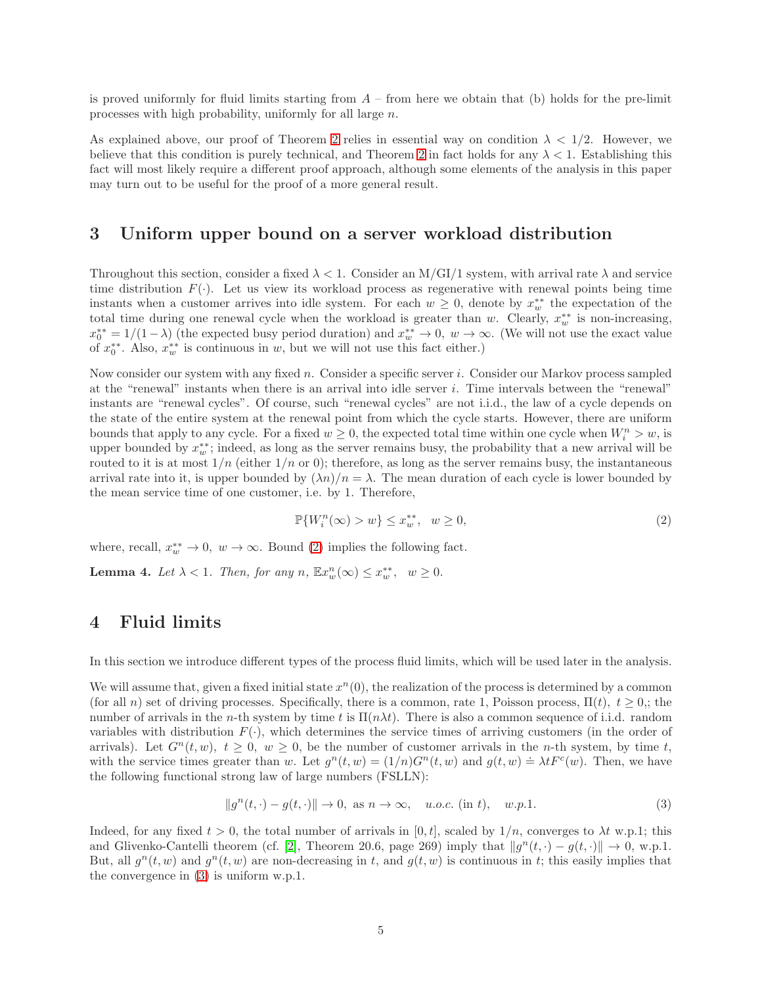is proved uniformly for fluid limits starting from  $A$  – from here we obtain that (b) holds for the pre-limit processes with high probability, uniformly for all large n.

As explained above, our proof of Theorem [2](#page-4-0) relies in essential way on condition  $\lambda < 1/2$ . However, we believe that this condition is purely technical, and Theorem [2](#page-4-0) in fact holds for any  $\lambda < 1$ . Establishing this fact will most likely require a different proof approach, although some elements of the analysis in this paper may turn out to be useful for the proof of a more general result.

## <span id="page-5-0"></span>3 Uniform upper bound on a server workload distribution

Throughout this section, consider a fixed  $\lambda < 1$ . Consider an M/GI/1 system, with arrival rate  $\lambda$  and service time distribution  $F(\cdot)$ . Let us view its workload process as regenerative with renewal points being time instants when a customer arrives into idle system. For each  $w \geq 0$ , denote by  $x_w^{**}$  the expectation of the total time during one renewal cycle when the workload is greater than w. Clearly,  $x_w^{**}$  is non-increasing,  $x_0^{**} = 1/(1-\lambda)$  (the expected busy period duration) and  $x_w^{**} \to 0$ ,  $w \to \infty$ . (We will not use the exact value of  $x_0^{**}$ . Also,  $x_w^{**}$  is continuous in w, but we will not use this fact either.)

Now consider our system with any fixed n. Consider a specific server i. Consider our Markov process sampled at the "renewal" instants when there is an arrival into idle server i. Time intervals between the "renewal" instants are "renewal cycles". Of course, such "renewal cycles" are not i.i.d., the law of a cycle depends on the state of the entire system at the renewal point from which the cycle starts. However, there are uniform bounds that apply to any cycle. For a fixed  $w \ge 0$ , the expected total time within one cycle when  $W_i^n > w$ , is upper bounded by  $x_w^{**}$ ; indeed, as long as the server remains busy, the probability that a new arrival will be routed to it is at most  $1/n$  (either  $1/n$  or 0); therefore, as long as the server remains busy, the instantaneous arrival rate into it, is upper bounded by  $(\lambda n)/n = \lambda$ . The mean duration of each cycle is lower bounded by the mean service time of one customer, i.e. by 1. Therefore,

<span id="page-5-2"></span>
$$
\mathbb{P}\{W_i^n(\infty) > w\} \le x_w^{**}, \quad w \ge 0,\tag{2}
$$

where, recall,  $x_w^{**} \to 0$ ,  $w \to \infty$ . Bound [\(2\)](#page-5-2) implies the following fact.

<span id="page-5-4"></span><span id="page-5-1"></span>**Lemma 4.** Let  $\lambda < 1$ . Then, for any  $n$ ,  $\mathbb{E}x_w^n(\infty) \leq x_w^{**}$ ,  $w \geq 0$ .

## 4 Fluid limits

In this section we introduce different types of the process fluid limits, which will be used later in the analysis.

We will assume that, given a fixed initial state  $x^n(0)$ , the realization of the process is determined by a common (for all n) set of driving processes. Specifically, there is a common, rate 1, Poisson process,  $\Pi(t)$ ,  $t \geq 0$ ; the number of arrivals in the n-th system by time t is  $\Pi(n\lambda t)$ . There is also a common sequence of i.i.d. random variables with distribution  $F(\cdot)$ , which determines the service times of arriving customers (in the order of arrivals). Let  $G<sup>n</sup>(t, w)$ ,  $t \ge 0$ ,  $w \ge 0$ , be the number of customer arrivals in the *n*-th system, by time t, with the service times greater than w. Let  $g^n(t, w) = (1/n)G^n(t, w)$  and  $g(t, w) = \lambda t F^c(w)$ . Then, we have the following functional strong law of large numbers (FSLLN):

<span id="page-5-3"></span>
$$
||g^{n}(t,\cdot)-g(t,\cdot)||\to 0, \text{ as } n\to\infty, \quad u.o.c. \text{ (in } t), \quad w.p.1. \tag{3}
$$

Indeed, for any fixed  $t > 0$ , the total number of arrivals in [0, t], scaled by  $1/n$ , converges to  $\lambda t$  w.p.1; this and Glivenko-Cantelli theorem (cf. [\[2\]](#page-11-11), Theorem 20.6, page 269) imply that  $||g^n(t, \cdot) - g(t, \cdot)|| \to 0$ , w.p.1. But, all  $g^{n}(t, w)$  and  $g^{n}(t, w)$  are non-decreasing in t, and  $g(t, w)$  is continuous in t; this easily implies that the convergence in [\(3\)](#page-5-3) is uniform w.p.1.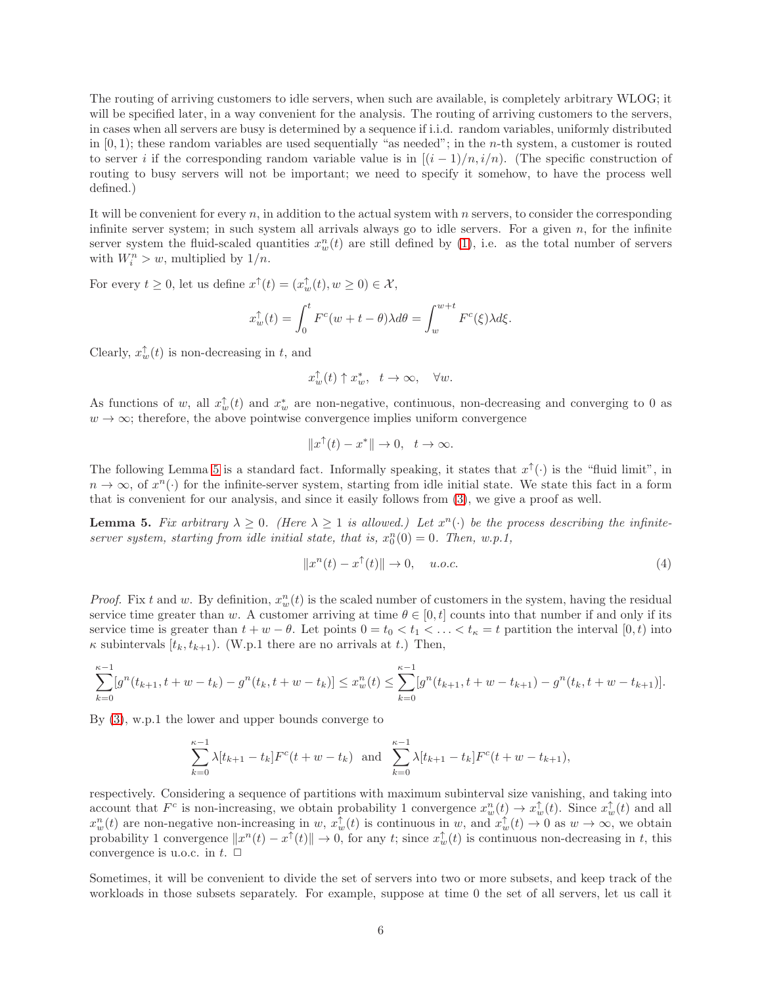The routing of arriving customers to idle servers, when such are available, is completely arbitrary WLOG; it will be specified later, in a way convenient for the analysis. The routing of arriving customers to the servers, in cases when all servers are busy is determined by a sequence if i.i.d. random variables, uniformly distributed in  $[0, 1)$ ; these random variables are used sequentially "as needed"; in the *n*-th system, a customer is routed to server i if the corresponding random variable value is in  $[(i-1)/n, i/n)$ . (The specific construction of routing to busy servers will not be important; we need to specify it somehow, to have the process well defined.)

It will be convenient for every n, in addition to the actual system with n servers, to consider the corresponding infinite server system; in such system all arrivals always go to idle servers. For a given  $n$ , for the infinite server system the fluid-scaled quantities  $x_w^n(t)$  are still defined by [\(1\)](#page-3-1), i.e. as the total number of servers with  $W_i^n > w$ , multiplied by  $1/n$ .

For every  $t \geq 0$ , let us define  $x^{\uparrow}(t) = (x_w^{\uparrow}(t), w \geq 0) \in \mathcal{X}$ ,

$$
x_w^{\uparrow}(t) = \int_0^t F^c(w + t - \theta) \lambda d\theta = \int_w^{w+t} F^c(\xi) \lambda d\xi.
$$

Clearly,  $x_w^{\uparrow}(t)$  is non-decreasing in t, and

$$
x_w^{\uparrow}(t) \uparrow x_w^*, \quad t \to \infty, \quad \forall w.
$$

As functions of w, all  $x_w^{\uparrow}(t)$  and  $x_w^*$  are non-negative, continuous, non-decreasing and converging to 0 as  $w \to \infty$ ; therefore, the above pointwise convergence implies uniform convergence

$$
||x^{\uparrow}(t) - x^*|| \to 0, \quad t \to \infty.
$$

The following Lemma [5](#page-6-0) is a standard fact. Informally speaking, it states that  $x^{\uparrow}(\cdot)$  is the "fluid limit", in  $n \to \infty$ , of  $x^n(\cdot)$  for the infinite-server system, starting from idle initial state. We state this fact in a form that is convenient for our analysis, and since it easily follows from [\(3\)](#page-5-3), we give a proof as well.

<span id="page-6-0"></span>**Lemma 5.** Fix arbitrary  $\lambda \geq 0$ . (Here  $\lambda \geq 1$  is allowed.) Let  $x^n(\cdot)$  be the process describing the infiniteserver system, starting from idle initial state, that is,  $x_0^n(0) = 0$ . Then, w.p.1,

$$
||x^n(t) - x^\uparrow(t)|| \to 0, \quad u.o.c.
$$
 (4)

*Proof.* Fix t and w. By definition,  $x_w^n(t)$  is the scaled number of customers in the system, having the residual service time greater than w. A customer arriving at time  $\theta \in [0, t]$  counts into that number if and only if its service time is greater than  $t + w - \theta$ . Let points  $0 = t_0 < t_1 < \ldots < t_{\kappa} = t$  partition the interval  $[0, t)$  into  $\kappa$  subintervals  $[t_k, t_{k+1})$ . (W.p.1 there are no arrivals at t.) Then,

$$
\sum_{k=0}^{\kappa-1} [g^n(t_{k+1}, t+w-t_k) - g^n(t_k, t+w-t_k)] \leq x_w^n(t) \leq \sum_{k=0}^{\kappa-1} [g^n(t_{k+1}, t+w-t_{k+1}) - g^n(t_k, t+w-t_{k+1})].
$$

By [\(3\)](#page-5-3), w.p.1 the lower and upper bounds converge to

$$
\sum_{k=0}^{\kappa-1} \lambda [t_{k+1} - t_k] F^c(t+w-t_k)
$$
 and 
$$
\sum_{k=0}^{\kappa-1} \lambda [t_{k+1} - t_k] F^c(t+w-t_{k+1}),
$$

respectively. Considering a sequence of partitions with maximum subinterval size vanishing, and taking into account that  $F^c$  is non-increasing, we obtain probability 1 convergence  $x_w^n(t) \to x_w^{\uparrow}(t)$ . Since  $x_w^{\uparrow}(t)$  and all  $x_w^n(t)$  are non-negative non-increasing in w,  $x_w^{\uparrow}(t)$  is continuous in w, and  $x_w^{\uparrow}(t) \to 0$  as  $w \to \infty$ , we obtain probability 1 convergence  $||x^n(t) - x^\uparrow(t)|| \to 0$ , for any t; since  $x_w^{\uparrow}(t)$  is continuous non-decreasing in t, this convergence is u.o.c. in  $t$ .  $\Box$ 

Sometimes, it will be convenient to divide the set of servers into two or more subsets, and keep track of the workloads in those subsets separately. For example, suppose at time 0 the set of all servers, let us call it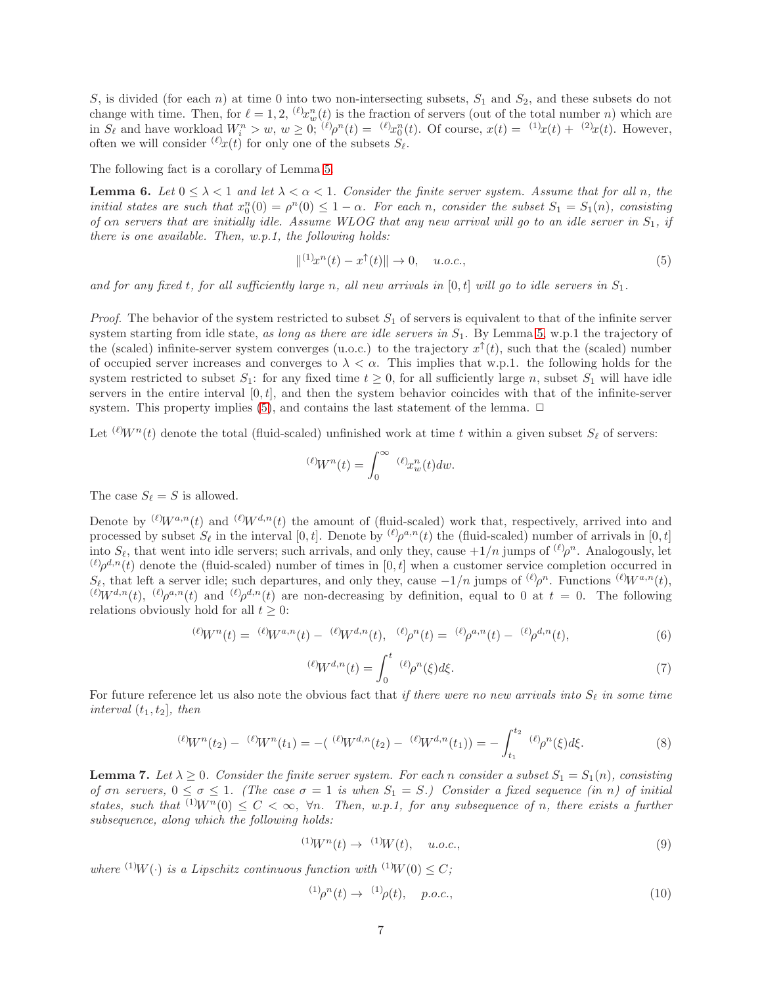S, is divided (for each n) at time 0 into two non-intersecting subsets,  $S_1$  and  $S_2$ , and these subsets do not change with time. Then, for  $\ell = 1, 2, \frac{(\ell)}{x_w^n(t)}$  is the fraction of servers (out of the total number n) which are in  $S_{\ell}$  and have workload  $W_i^n > w$ ,  $w \geq 0$ ;  $({\ell})\rho^n(t) = ({\ell})x_0^n(t)$ . Of course,  $x(t) = {1 \choose 2}x(t) + {2 \choose 2}x(t)$ . However, often we will consider  $({}^{\ell})x(t)$  for only one of the subsets  $S_{\ell}$ .

The following fact is a corollary of Lemma [5.](#page-6-0)

<span id="page-7-5"></span>**Lemma 6.** Let  $0 \leq \lambda < 1$  and let  $\lambda < \alpha < 1$ . Consider the finite server system. Assume that for all n, the initial states are such that  $x_0^n(0) = \rho^n(0) \leq 1-\alpha$ . For each n, consider the subset  $S_1 = S_1(n)$ , consisting of an servers that are initially idle. Assume WLOG that any new arrival will go to an idle server in  $S_1$ , if there is one available. Then, w.p.1, the following holds:

<span id="page-7-0"></span>
$$
\|^{(1)}x^n(t) - x^{\uparrow}(t)\| \to 0, \quad u.o.c., \tag{5}
$$

and for any fixed t, for all sufficiently large n, all new arrivals in  $[0,t]$  will go to idle servers in  $S_1$ .

*Proof.* The behavior of the system restricted to subset  $S_1$  of servers is equivalent to that of the infinite server system starting from idle state, as long as there are idle servers in  $S_1$ . By Lemma [5,](#page-6-0) w.p.1 the trajectory of the (scaled) infinite-server system converges (u.o.c.) to the trajectory  $x^{\uparrow}(t)$ , such that the (scaled) number of occupied server increases and converges to  $\lambda < \alpha$ . This implies that w.p.1. the following holds for the system restricted to subset  $S_1$ : for any fixed time  $t \geq 0$ , for all sufficiently large n, subset  $S_1$  will have idle servers in the entire interval  $[0, t]$ , and then the system behavior coincides with that of the infinite-server system. This property implies [\(5\)](#page-7-0), and contains the last statement of the lemma.  $\Box$ 

Let  $({\ell}W^n(t)$  denote the total (fluid-scaled) unfinished work at time t within a given subset  $S_\ell$  of servers:

$$
^{(\ell)}\!W^n(t)=\int_0^\infty \ ^{(\ell)}\!x^n_w(t)dw.
$$

The case  $S_{\ell} = S$  is allowed.

Denote by  $({\ell})W^{a,n}(t)$  and  $({\ell})W^{d,n}(t)$  the amount of (fluid-scaled) work that, respectively, arrived into and processed by subset  $S_{\ell}$  in the interval  $[0, t]$ . Denote by  $({\ell})\rho^{a,n}(t)$  the (fluid-scaled) number of arrivals in  $[0, t]$ into  $S_{\ell}$ , that went into idle servers; such arrivals, and only they, cause  $+1/n$  jumps of  ${}^{(\ell)}\rho^n$ . Analogously, let  $^{(\ell)}\rho^{d,n}(t)$  denote the (fluid-scaled) number of times in [0, t] when a customer service completion occurred in  $S_{\ell}$ , that left a server idle; such departures, and only they, cause  $-1/n$  jumps of  $({\ell})\rho^n$ . Functions  $({\ell})W^{a,n}(t)$ ,  $({\ell})W^{d,n}(t)$ ,  $({\ell})\rho^{a,n}(t)$  and  $({\ell})\rho^{d,n}(t)$  are non-decreasing by definition, equal to 0 at  $t=0$ . The following relations obviously hold for all  $t \geq 0$ :

$$
^{(\ell)}W^{n}(t) = {^{(\ell)}W^{a,n}(t) - {^{(\ell)}W^{d,n}(t)}, \quad {^{(\ell)}\rho^{n}(t) = {^{(\ell)}\rho^{a,n}(t) - {^{(\ell)}\rho^{d,n}(t)}}, \tag{6}}
$$

<span id="page-7-3"></span>
$$
({}^{\ell})\!W^{d,n}(t) = \int_0^t \, {}^{(\ell)}\! \rho^n(\xi) d\xi. \tag{7}
$$

For future reference let us also note the obvious fact that if there were no new arrivals into  $S_{\ell}$  in some time interval  $(t_1, t_2]$ , then

<span id="page-7-6"></span>
$$
{}^{(\ell)}W^n(t_2) - {}^{(\ell)}W^n(t_1) = -({}^{(\ell)}W^{d,n}(t_2) - {}^{(\ell)}W^{d,n}(t_1)) = -\int_{t_1}^{t_2} {}^{(\ell)}\rho^n(\xi)d\xi.
$$
 (8)

<span id="page-7-4"></span>**Lemma 7.** Let  $\lambda \geq 0$ . Consider the finite server system. For each n consider a subset  $S_1 = S_1(n)$ , consisting of  $\sigma n$  servers,  $0 \le \sigma \le 1$ . (The case  $\sigma = 1$  is when  $S_1 = S$ .) Consider a fixed sequence (in n) of initial states, such that  $^{(1)}W^n(0) \leq C < \infty$ ,  $\forall n$ . Then, w.p.1, for any subsequence of n, there exists a further subsequence, along which the following holds:

<span id="page-7-1"></span>
$$
{}^{(1)}W^{n}(t) \to {}^{(1)}W(t), \quad u.o.c., \tag{9}
$$

where <sup>(1)</sup>W(·) is a Lipschitz continuous function with <sup>(1)</sup>W(0)  $\leq C$ ;

<span id="page-7-2"></span>
$$
^{(1)}\rho^{n}(t) \to \ ^{(1)}\rho(t), \quad p.o.c., \tag{10}
$$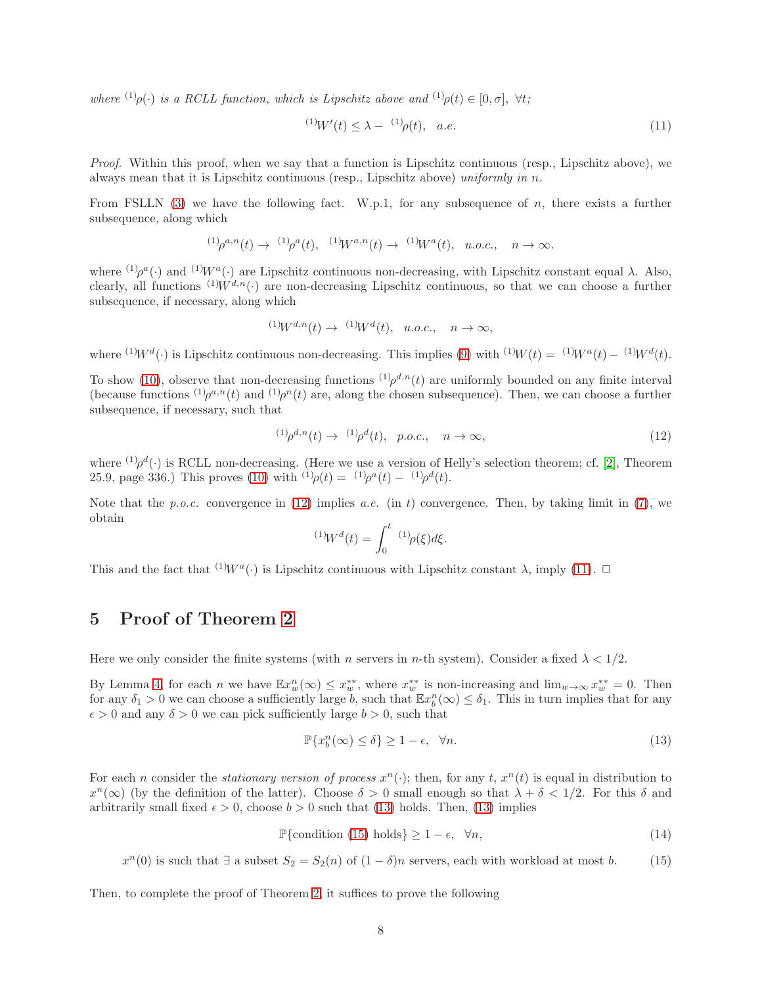where  $^{(1)}\rho(\cdot)$  is a RCLL function, which is Lipschitz above and  $^{(1)}\rho(t) \in [0, \sigma]$ ,  $\forall t$ ;

<span id="page-8-2"></span>
$$
^{(1)}W'(t) \leq \lambda - \quad ^{(1)}\rho(t), \quad a.e. \tag{11}
$$

Proof. Within this proof, when we say that a function is Lipschitz continuous (resp., Lipschitz above), we always mean that it is Lipschitz continuous (resp., Lipschitz above) uniformly in  $n$ .

From FSLLN [\(3\)](#page-5-3) we have the following fact. W.p.1, for any subsequence of n, there exists a further subsequence, along which

$$
^{(1)}\rho^{a,n}(t)\to {}^{(1)}\rho^a(t),\ \ ^{(1)}\!W^{a,n}(t)\to {}^{(1)}\!W^a(t),\ \ u.o.c.,\ \ n\to\infty.
$$

where  $^{(1)}\rho^a(\cdot)$  and  $^{(1)}W^a(\cdot)$  are Lipschitz continuous non-decreasing, with Lipschitz constant equal  $\lambda$ . Also, clearly, all functions  $(1)W^{d,n}(\cdot)$  are non-decreasing Lipschitz continuous, so that we can choose a further subsequence, if necessary, along which

$$
{}^{(1)}W^{d,n}(t) \to {}^{(1)}W^d(t), \ u.o.c., \quad n \to \infty,
$$

where <sup>(1)</sup>W<sup>d</sup>(·) is Lipschitz continuous non-decreasing. This implies [\(9\)](#page-7-1) with <sup>(1)</sup>W(t) = <sup>(1)</sup>W<sup>a</sup>(t) - <sup>(1)</sup>W<sup>d</sup>(t).

To show [\(10\)](#page-7-2), observe that non-decreasing functions  $(1)$  $\rho^{d,n}(t)$  are uniformly bounded on any finite interval (because functions  $^{(1)}\rho^{a,n}(t)$  and  $^{(1)}\rho^{n}(t)$  are, along the chosen subsequence). Then, we can choose a further subsequence, if necessary, such that

<span id="page-8-1"></span>
$$
^{(1)}\rho^{d,n}(t) \to \ ^{(1)}\rho^d(t), \ \ p.o.c., \quad n \to \infty,
$$
\n(12)

where  $^{(1)}\rho^{d}(\cdot)$  is RCLL non-decreasing. (Here we use a version of Helly's selection theorem; cf. [\[2\]](#page-11-11), Theorem 25.9, page 336.) This proves [\(10\)](#page-7-2) with <sup>(1)</sup> $\rho(t) = {}^{(1)}\rho^{a}(t) - {}^{(1)}\rho^{d}(t)$ .

Note that the p.o.c. convergence in [\(12\)](#page-8-1) implies a.e. (in t) convergence. Then, by taking limit in [\(7\)](#page-7-3), we obtain

$$
{}^{(1)}\!W^d(t) = \int_0^t {}^{(1)}\! \rho(\xi) d\xi.
$$

<span id="page-8-0"></span>This and the fact that <sup>(1)</sup> $W^a(\cdot)$  is Lipschitz continuous with Lipschitz constant  $\lambda$ , imply [\(11\)](#page-8-2).  $\Box$ 

# 5 Proof of Theorem [2](#page-4-0)

Here we only consider the finite systems (with n servers in n-th system). Consider a fixed  $\lambda < 1/2$ .

By Lemma [4,](#page-5-4) for each n we have  $\mathbb{E}x_w^n(\infty) \leq x_w^{**}$ , where  $x_w^{**}$  is non-increasing and  $\lim_{w\to\infty}x_w^{**} = 0$ . Then for any  $\delta_1 > 0$  we can choose a sufficiently large  $b$ , such that  $\mathbb{E} x_b^n(\infty) \leq \delta_1$ . This in turn implies that for any  $\epsilon > 0$  and any  $\delta > 0$  we can pick sufficiently large  $b > 0$ , such that

<span id="page-8-3"></span>
$$
\mathbb{P}\{x_b^n(\infty) \le \delta\} \ge 1 - \epsilon, \quad \forall n. \tag{13}
$$

For each *n* consider the *stationary version of process*  $x^n(.)$ ; then, for any t,  $x^n(t)$  is equal in distribution to  $x^{n}(\infty)$  (by the definition of the latter). Choose  $\delta > 0$  small enough so that  $\lambda + \delta < 1/2$ . For this  $\delta$  and arbitrarily small fixed  $\epsilon > 0$ , choose  $b > 0$  such that [\(13\)](#page-8-3) holds. Then, (13) implies

<span id="page-8-5"></span>
$$
\mathbb{P}\{\text{condition (15) holds}\} \ge 1 - \epsilon, \ \forall n,
$$
\n(14)

<span id="page-8-4"></span> $x^{n}(0)$  is such that  $\exists$  a subset  $S_2 = S_2(n)$  of  $(1 - \delta)n$  servers, each with workload at most b. (15)

Then, to complete the proof of Theorem [2,](#page-4-0) it suffices to prove the following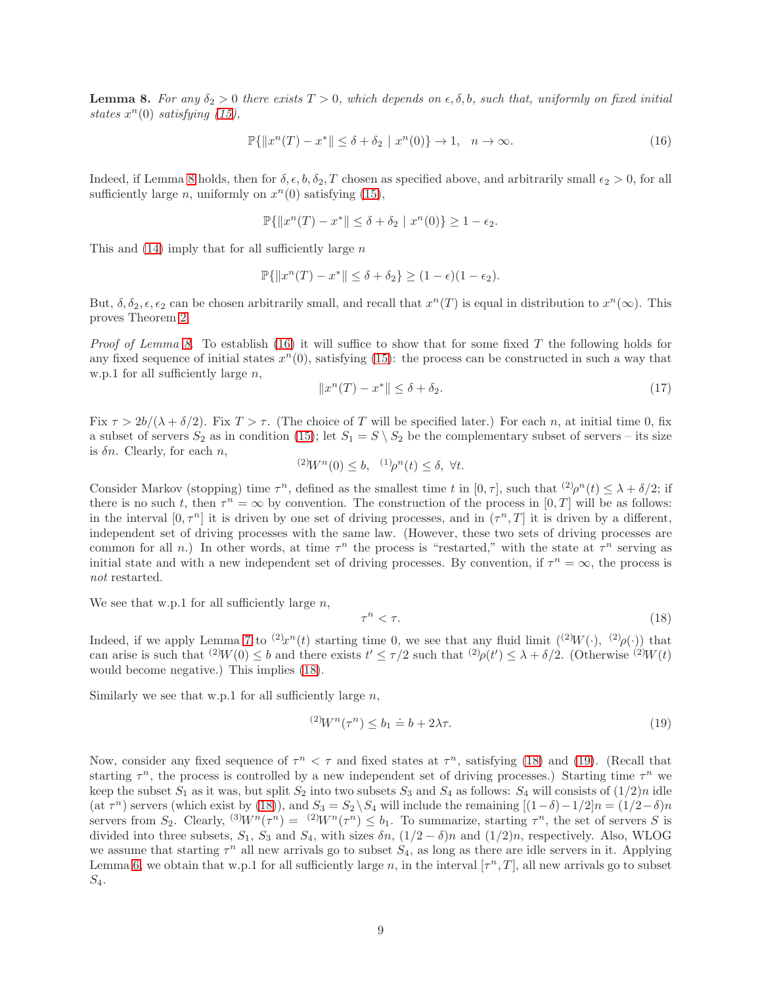<span id="page-9-0"></span>**Lemma 8.** For any  $\delta_2 > 0$  there exists  $T > 0$ , which depends on  $\epsilon, \delta, b$ , such that, uniformly on fixed initial states  $x^n(0)$  satisfying [\(15\)](#page-8-4),

<span id="page-9-1"></span>
$$
\mathbb{P}\{\|x^n(T) - x^*\| \le \delta + \delta_2 \mid x^n(0)\} \to 1, \quad n \to \infty. \tag{16}
$$

Indeed, if Lemma [8](#page-9-0) holds, then for  $\delta, \epsilon, b, \delta_2, T$  chosen as specified above, and arbitrarily small  $\epsilon_2 > 0$ , for all sufficiently large *n*, uniformly on  $x^n(0)$  satisfying [\(15\)](#page-8-4),

$$
\mathbb{P}\{\|x^n(T) - x^*\| \le \delta + \delta_2 \mid x^n(0)\} \ge 1 - \epsilon_2.
$$

This and  $(14)$  imply that for all sufficiently large n

$$
\mathbb{P}\{\|x^n(T) - x^*\| \le \delta + \delta_2\} \ge (1 - \epsilon)(1 - \epsilon_2).
$$

But,  $\delta, \delta_2, \epsilon, \epsilon_2$  can be chosen arbitrarily small, and recall that  $x^n(T)$  is equal in distribution to  $x^n(\infty)$ . This proves Theorem [2.](#page-4-0)

*Proof of Lemma [8.](#page-9-0)* To establish [\(16\)](#page-9-1) it will suffice to show that for some fixed T the following holds for any fixed sequence of initial states  $x^n(0)$ , satisfying [\(15\)](#page-8-4): the process can be constructed in such a way that w.p.1 for all sufficiently large  $n$ ,

<span id="page-9-4"></span>
$$
||x^n(T) - x^*|| \le \delta + \delta_2. \tag{17}
$$

Fix  $\tau > 2b/(\lambda + \delta/2)$ . Fix  $T > \tau$ . (The choice of T will be specified later.) For each n, at initial time 0, fix a subset of servers  $S_2$  as in condition [\(15\)](#page-8-4); let  $S_1 = S \setminus S_2$  be the complementary subset of servers – its size is  $\delta n$ . Clearly, for each n,

$$
^{(2)}W^n(0) \leq b, \quad ^{(1)}\rho^n(t) \leq \delta, \ \forall t.
$$

Consider Markov (stopping) time  $\tau^n$ , defined as the smallest time t in  $[0, \tau]$ , such that  $\frac{(2)}{\tau^n}(t) \leq \lambda + \delta/2$ ; if there is no such t, then  $\tau^n = \infty$  by convention. The construction of the process in  $[0, T]$  will be as follows: in the interval  $[0, \tau^n]$  it is driven by one set of driving processes, and in  $(\tau^n, T]$  it is driven by a different, independent set of driving processes with the same law. (However, these two sets of driving processes are common for all n.) In other words, at time  $\tau^n$  the process is "restarted," with the state at  $\tau^n$  serving as initial state and with a new independent set of driving processes. By convention, if  $\tau^n = \infty$ , the process is not restarted.

We see that w.p.1 for all sufficiently large  $n$ ,

<span id="page-9-2"></span>
$$
\tau^n < \tau. \tag{18}
$$

Indeed, if we apply Lemma [7](#page-7-4) to  $^{(2)}x^n(t)$  starting time 0, we see that any fluid limit  $^{((2)}W(\cdot), (2)\rho(\cdot))$  that can arise is such that  $^{(2)}W(0) \leq b$  and there exists  $t' \leq \tau/2$  such that  $^{(2)}\rho(t') \leq \lambda + \delta/2$ . (Otherwise  $^{(2)}W(t)$ would become negative.) This implies [\(18\)](#page-9-2).

Similarly we see that w.p.1 for all sufficiently large  $n$ ,

<span id="page-9-3"></span>
$$
^{(2)}W^n(\tau^n) \le b_1 \doteq b + 2\lambda\tau. \tag{19}
$$

Now, consider any fixed sequence of  $\tau^n < \tau$  and fixed states at  $\tau^n$ , satisfying [\(18\)](#page-9-2) and [\(19\)](#page-9-3). (Recall that starting  $\tau^n$ , the process is controlled by a new independent set of driving processes.) Starting time  $\tau^n$  we keep the subset  $S_1$  as it was, but split  $S_2$  into two subsets  $S_3$  and  $S_4$  as follows:  $S_4$  will consists of  $(1/2)n$  idle  $(\text{at } \tau^n)$  servers (which exist by [\(18\)](#page-9-2)), and  $S_3 = S_2 \setminus S_4$  will include the remaining  $[(1-\delta)-1/2]n = (1/2-\delta)n$ servers from  $S_2$ . Clearly,  ${}^{(3)}W^n(\tau^n) = {}^{(2)}W^n(\tau^n) \leq b_1$ . To summarize, starting  $\tau^n$ , the set of servers S is divided into three subsets,  $S_1$ ,  $S_3$  and  $S_4$ , with sizes  $\delta n$ ,  $(1/2 - \delta)n$  and  $(1/2)n$ , respectively. Also, WLOG we assume that starting  $\tau^n$  all new arrivals go to subset  $S_4$ , as long as there are idle servers in it. Applying Lemma [6,](#page-7-5) we obtain that w.p.1 for all sufficiently large n, in the interval  $[\tau^n, T]$ , all new arrivals go to subset  $S_4$ .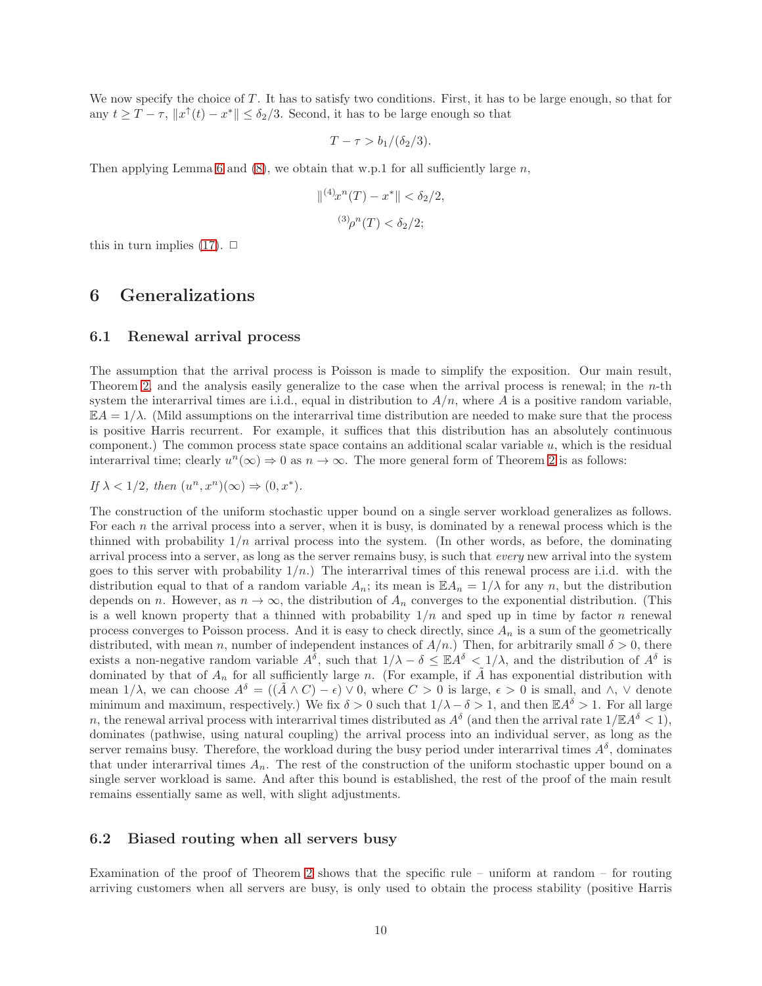We now specify the choice of T. It has to satisfy two conditions. First, it has to be large enough, so that for any  $t \geq T - \tau$ ,  $||x^{\uparrow}(t) - x^*|| \leq \delta_2/3$ . Second, it has to be large enough so that

$$
T - \tau > b_1/(\delta_2/3).
$$

Then applying Lemma [6](#page-7-5) and [\(8\)](#page-7-6), we obtain that w.p.1 for all sufficiently large  $n$ ,

$$
\|^{(4)}x^n(T) - x^* \| < \delta_2/2,
$$
\n
$$
^{(3)}\rho^n(T) < \delta_2/2;
$$

<span id="page-10-0"></span>this in turn implies  $(17)$ .  $\Box$ 

## 6 Generalizations

## 6.1 Renewal arrival process

The assumption that the arrival process is Poisson is made to simplify the exposition. Our main result, Theorem [2,](#page-4-0) and the analysis easily generalize to the case when the arrival process is renewal; in the  $n$ -th system the interarrival times are i.i.d., equal in distribution to  $A/n$ , where A is a positive random variable,  $\mathbb{E}A = 1/\lambda$ . (Mild assumptions on the interarrival time distribution are needed to make sure that the process is positive Harris recurrent. For example, it suffices that this distribution has an absolutely continuous component.) The common process state space contains an additional scalar variable  $u$ , which is the residual interarrival time; clearly  $u^n(\infty) \to 0$  as  $n \to \infty$ . The more general form of Theorem [2](#page-4-0) is as follows:

If  $\lambda < 1/2$ , then  $(u^n, x^n)(\infty) \Rightarrow (0, x^*)$ .

The construction of the uniform stochastic upper bound on a single server workload generalizes as follows. For each  $n$  the arrival process into a server, when it is busy, is dominated by a renewal process which is the thinned with probability  $1/n$  arrival process into the system. (In other words, as before, the dominating arrival process into a server, as long as the server remains busy, is such that every new arrival into the system goes to this server with probability  $1/n$ .) The interarrival times of this renewal process are i.i.d. with the distribution equal to that of a random variable  $A_n$ ; its mean is  $\mathbb{E}A_n = 1/\lambda$  for any n, but the distribution depends on n. However, as  $n \to \infty$ , the distribution of  $A_n$  converges to the exponential distribution. (This is a well known property that a thinned with probability  $1/n$  and sped up in time by factor n renewal process converges to Poisson process. And it is easy to check directly, since  $A_n$  is a sum of the geometrically distributed, with mean n, number of independent instances of  $A/n$ .) Then, for arbitrarily small  $\delta > 0$ , there exists a non-negative random variable  $A^{\delta}$ , such that  $1/\lambda - \delta \leq \mathbb{E} A^{\delta} \leq 1/\lambda$ , and the distribution of  $A^{\delta}$  is dominated by that of  $A_n$  for all sufficiently large n. (For example, if  $\tilde{A}$  has exponential distribution with mean  $1/\lambda$ , we can choose  $A^{\delta} = ((\overline{A} \wedge C) - \epsilon) \vee 0$ , where  $C > 0$  is large,  $\epsilon > 0$  is small, and  $\wedge$ ,  $\vee$  denote minimum and maximum, respectively.) We fix  $\delta > 0$  such that  $1/\lambda - \delta > 1$ , and then  $\mathbb{E}A^{\delta} > 1$ . For all large n, the renewal arrival process with interarrival times distributed as  $A^{\delta}$  (and then the arrival rate  $1/\mathbb{E}A^{\delta} < 1$ ), dominates (pathwise, using natural coupling) the arrival process into an individual server, as long as the server remains busy. Therefore, the workload during the busy period under interarrival times  $A^{\delta}$ , dominates that under interarrival times  $A_n$ . The rest of the construction of the uniform stochastic upper bound on a single server workload is same. And after this bound is established, the rest of the proof of the main result remains essentially same as well, with slight adjustments.

## 6.2 Biased routing when all servers busy

Examination of the proof of Theorem [2](#page-4-0) shows that the specific rule – uniform at random – for routing arriving customers when all servers are busy, is only used to obtain the process stability (positive Harris